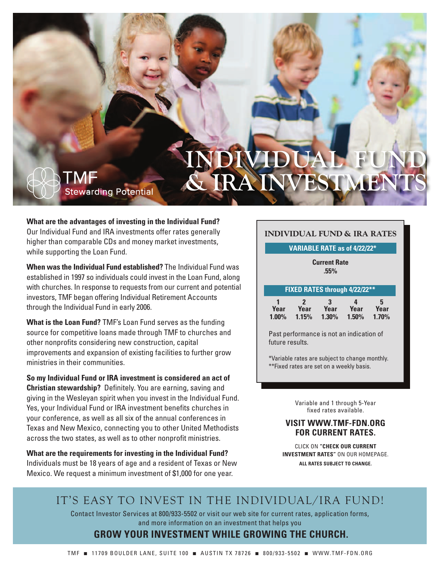# **INDUAL & IRA INVESTME**

## **What are the advantages of investing in the Individual Fund?**

**Stewarding Potential** 

TMF

Our Individual Fund and IRA investments offer rates generally higher than comparable CDs and money market investments, while supporting the Loan Fund.

**When was the Individual Fund established?** The Individual Fund was established in 1997 so individuals could invest in the Loan Fund, along with churches. In response to requests from our current and potential investors, TMF began offering Individual Retirement Accounts through the Individual Fund in early 2006.

**What is the Loan Fund?** TMF's Loan Fund serves as the funding source for competitive loans made through TMF to churches and other nonprofits considering new construction, capital improvements and expansion of existing facilities to further grow ministries in their communities.

**So my Individual Fund or IRA investment is considered an act of Christian stewardship?** Definitely. You are earning, saving and giving in the Wesleyan spirit when you invest in the Individual Fund. Yes, your Individual Fund or IRA investment benefits churches in your conference, as well as all six of the annual conferences in Texas and New Mexico, connecting you to other United Methodists across the two states, as well as to other nonprofit ministries.

**What are the requirements for investing in the Individual Fund?** Individuals must be 18 years of age and a resident of Texas or New Mexico. We request a minimum investment of \$1,000 for one year.

### **INDIVIDUAL FUND & IRA RATES**

### **VARIABLE RATE as of 4/22/22\***

**Current Rate .55%**

#### **FIXED RATES through 4/22/22\*\***

|          | $\overline{\phantom{a}}$ | 3        | Д        | 5        |
|----------|--------------------------|----------|----------|----------|
| Year     | Year                     | Year     | Year     | Year     |
| $1.00\%$ | 1.15%                    | $1.30\%$ | $1.50\%$ | $1.70\%$ |

Past performance is not an indication of future results.

\*Variable rates are subject to change monthly. \*\*Fixed rates are set on a weekly basis.

> Variable and 1 through 5-Year fixed rates available.

### **VISIT WWW.TMF-FDN.ORG FOR CURRENT RATES.**

CLICK ON **"CHECK OUR CURRENT INVESTMENT RATES"** ON OUR HOMEPAGE.

**ALL RATES SUBJECT TO CHANGE.**

## IT'S EASY TO INVEST IN THE INDIVIDUAL/IRA FUND!

Contact Investor Services at 800/933-5502 or visit our web site for current rates, application forms, and more information on an investment that helps you

### **GROW YOUR INVESTMENT WHILE GROWING THE CHURCH.**